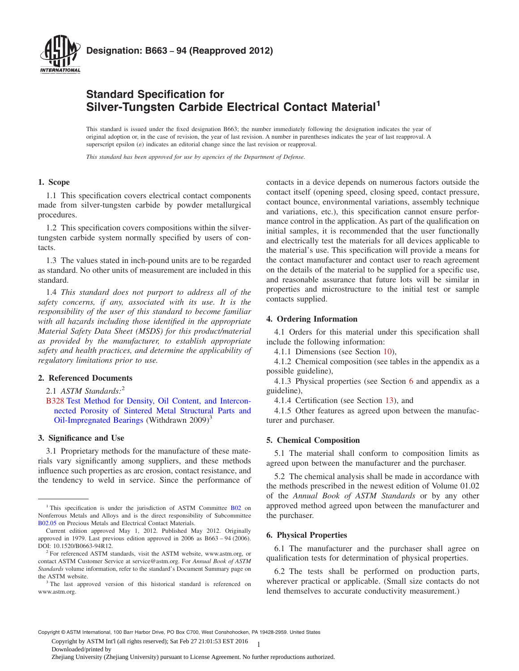<span id="page-0-0"></span>

# **Standard Specification for Silver-Tungsten Carbide Electrical Contact Material<sup>1</sup>**

This standard is issued under the fixed designation B663; the number immediately following the designation indicates the year of original adoption or, in the case of revision, the year of last revision. A number in parentheses indicates the year of last reapproval. A superscript epsilon  $(\varepsilon)$  indicates an editorial change since the last revision or reapproval.

*This standard has been approved for use by agencies of the Department of Defense.*

# **1. Scope**

1.1 This specification covers electrical contact components made from silver-tungsten carbide by powder metallurgical procedures.

1.2 This specification covers compositions within the silvertungsten carbide system normally specified by users of contacts.

1.3 The values stated in inch-pound units are to be regarded as standard. No other units of measurement are included in this standard.

1.4 *This standard does not purport to address all of the safety concerns, if any, associated with its use. It is the responsibility of the user of this standard to become familiar with all hazards including those identified in the appropriate Material Safety Data Sheet (MSDS) for this product/material as provided by the manufacturer, to establish appropriate safety and health practices, and determine the applicability of regulatory limitations prior to use.*

# **2. Referenced Documents**

2.1 *ASTM Standards:*<sup>2</sup>

[B328](#page-1-0) [Test Method for Density, Oil Content, and Intercon](http://dx.doi.org/10.1520/B0328)[nected Porosity of Sintered Metal Structural Parts and](http://dx.doi.org/10.1520/B0328) [Oil-Impregnated Bearings](http://dx.doi.org/10.1520/B0328) (Withdrawn 2009)<sup>3</sup>

# **3. Significance and Use**

3.1 Proprietary methods for the manufacture of these materials vary significantly among suppliers, and these methods influence such properties as arc erosion, contact resistance, and the tendency to weld in service. Since the performance of contacts in a device depends on numerous factors outside the contact itself (opening speed, closing speed, contact pressure, contact bounce, environmental variations, assembly technique and variations, etc.), this specification cannot ensure performance control in the application. As part of the qualification on initial samples, it is recommended that the user functionally and electrically test the materials for all devices applicable to the material's use. This specification will provide a means for the contact manufacturer and contact user to reach agreement on the details of the material to be supplied for a specific use, and reasonable assurance that future lots will be similar in properties and microstructure to the initial test or sample contacts supplied.

# **4. Ordering Information**

4.1 Orders for this material under this specification shall include the following information:

4.1.1 Dimensions (see Section [10\)](#page-1-0),

4.1.2 Chemical composition (see tables in the appendix as a possible guideline),

4.1.3 Physical properties (see Section 6 and appendix as a guideline),

4.1.4 Certification (see Section [13\)](#page-1-0), and

4.1.5 Other features as agreed upon between the manufacturer and purchaser.

# **5. Chemical Composition**

5.1 The material shall conform to composition limits as agreed upon between the manufacturer and the purchaser.

5.2 The chemical analysis shall be made in accordance with the methods prescribed in the newest edition of Volume 01.02 of the *Annual Book of ASTM Standards* or by any other approved method agreed upon between the manufacturer and the purchaser.

## **6. Physical Properties**

6.1 The manufacturer and the purchaser shall agree on qualification tests for determination of physical properties.

6.2 The tests shall be performed on production parts, wherever practical or applicable. (Small size contacts do not lend themselves to accurate conductivity measurement.)

Copyright © ASTM International, 100 Barr Harbor Drive, PO Box C700, West Conshohocken, PA 19428-2959. United States

1 Copyright by ASTM Int'l (all rights reserved); Sat Feb 27 21:01:53 EST 2016

Downloaded/printed by

Zhejiang University (Zhejiang University) pursuant to License Agreement. No further reproductions authorized.

<sup>&</sup>lt;sup>1</sup> This specification is under the jurisdiction of ASTM Committee [B02](http://www.astm.org/COMMIT/COMMITTEE/B02.htm) on Nonferrous Metals and Alloys and is the direct responsibility of Subcommittee [B02.05](http://www.astm.org/COMMIT/SUBCOMMIT/B0205.htm) on Precious Metals and Electrical Contact Materials.

Current edition approved May 1, 2012. Published May 2012. Originally approved in 1979. Last previous edition approved in 2006 as B663 – 94 (2006). DOI: 10.1520/B0663-94R12.

<sup>2</sup> For referenced ASTM standards, visit the ASTM website, www.astm.org, or contact ASTM Customer Service at service@astm.org. For *Annual Book of ASTM Standards* volume information, refer to the standard's Document Summary page on the ASTM website.

<sup>&</sup>lt;sup>3</sup> The last approved version of this historical standard is referenced on www.astm.org.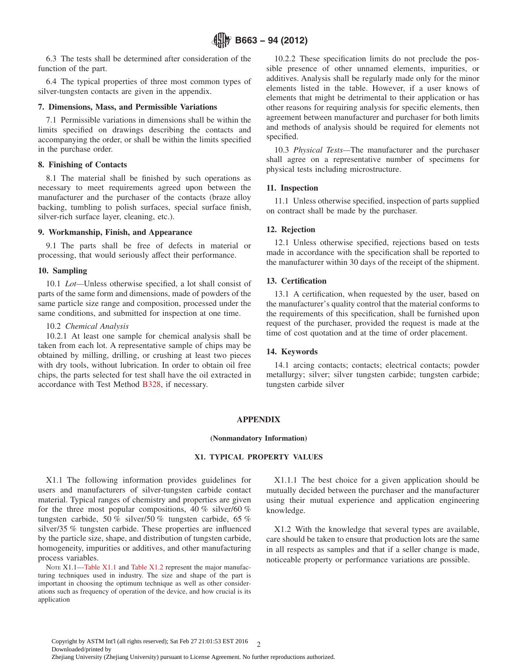<span id="page-1-0"></span>6.3 The tests shall be determined after consideration of the function of the part.

6.4 The typical properties of three most common types of silver-tungsten contacts are given in the appendix.

## **7. Dimensions, Mass, and Permissible Variations**

7.1 Permissible variations in dimensions shall be within the limits specified on drawings describing the contacts and accompanying the order, or shall be within the limits specified in the purchase order.

# **8. Finishing of Contacts**

8.1 The material shall be finished by such operations as necessary to meet requirements agreed upon between the manufacturer and the purchaser of the contacts (braze alloy backing, tumbling to polish surfaces, special surface finish, silver-rich surface layer, cleaning, etc.).

# **9. Workmanship, Finish, and Appearance**

9.1 The parts shall be free of defects in material or processing, that would seriously affect their performance.

#### **10. Sampling**

10.1 *Lot—*Unless otherwise specified, a lot shall consist of parts of the same form and dimensions, made of powders of the same particle size range and composition, processed under the same conditions, and submitted for inspection at one time.

#### 10.2 *Chemical Analysis*

10.2.1 At least one sample for chemical analysis shall be taken from each lot. A representative sample of chips may be obtained by milling, drilling, or crushing at least two pieces with dry tools, without lubrication. In order to obtain oil free chips, the parts selected for test shall have the oil extracted in accordance with Test Method [B328,](#page-0-0) if necessary.

10.2.2 These specification limits do not preclude the possible presence of other unnamed elements, impurities, or additives. Analysis shall be regularly made only for the minor elements listed in the table. However, if a user knows of elements that might be detrimental to their application or has other reasons for requiring analysis for specific elements, then agreement between manufacturer and purchaser for both limits and methods of analysis should be required for elements not specified.

10.3 *Physical Tests—*The manufacturer and the purchaser shall agree on a representative number of specimens for physical tests including microstructure.

#### **11. Inspection**

11.1 Unless otherwise specified, inspection of parts supplied on contract shall be made by the purchaser.

#### **12. Rejection**

12.1 Unless otherwise specified, rejections based on tests made in accordance with the specification shall be reported to the manufacturer within 30 days of the receipt of the shipment.

# **13. Certification**

13.1 A certification, when requested by the user, based on the manufacturer's quality control that the material conforms to the requirements of this specification, shall be furnished upon request of the purchaser, provided the request is made at the time of cost quotation and at the time of order placement.

# **14. Keywords**

14.1 arcing contacts; contacts; electrical contacts; powder metallurgy; silver; silver tungsten carbide; tungsten carbide; tungsten carbide silver

#### **APPENDIX**

#### **(Nonmandatory Information)**

# **X1. TYPICAL PROPERTY VALUES**

X1.1 The following information provides guidelines for users and manufacturers of silver-tungsten carbide contact material. Typical ranges of chemistry and properties are given for the three most popular compositions, 40 % silver/60 % tungsten carbide, 50 % silver/50 % tungsten carbide, 65 % silver/35 % tungsten carbide. These properties are influenced by the particle size, shape, and distribution of tungsten carbide, homogeneity, impurities or additives, and other manufacturing process variables.

NOTE X1.1[—Table X1.1](#page-2-0) and [Table X1.2](#page-2-0) represent the major manufacturing techniques used in industry. The size and shape of the part is important in choosing the optimum technique as well as other considerations such as frequency of operation of the device, and how crucial is its application

X1.1.1 The best choice for a given application should be mutually decided between the purchaser and the manufacturer using their mutual experience and application engineering knowledge.

X1.2 With the knowledge that several types are available, care should be taken to ensure that production lots are the same in all respects as samples and that if a seller change is made, noticeable property or performance variations are possible.